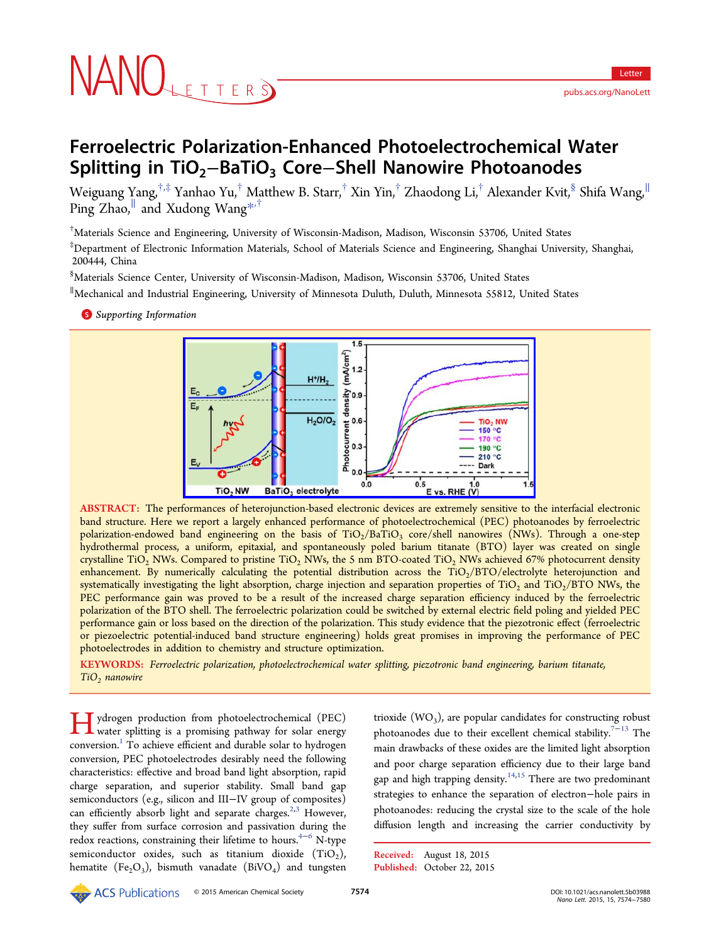# NANOLETTERS

# Ferroelectric Polarization-Enhanced Photoelectrochemical Water Splitting in TiO<sub>2</sub>−BaTiO<sub>3</sub> Core–Shell Nanowire Photoanodes

Weiguang Yang,<sup>†,‡</sup> Yanhao Yu,<sup>†</sup> Matthew B. Starr,<sup>†</sup> Xin Yin,<sup>†</sup> Zhaodong Li,<sup>†</sup> Alexander Kvit,<sup>§</sup> Shifa Wang,<sup>||</sup> Ping  $Z$ hao,<sup>||</sup> and Xudong Wang<sup>\*,†</sup>

† Materials Science and Engineering, Un[ive](#page-6-0)rsity of Wisconsin-Madison, Madison, Wisconsin 53706, United States

‡ Department of Electronic Information Materials, School of Materials Science and Engineering, Shanghai University, Shanghai, 200444, China

§ Materials Science Center, University of Wisconsin-Madison, Madison, Wisconsin 53706, United States

∥ Mechanical and Industrial Engineering, University of Minnesota Duluth, Duluth, Minnesota 55812, United States

**S** Supporting Information



ABSTRACT: The perf[ormances of heterojunction-based electronic devices are extremely sensitive to](http://pubs.acs.org/action/showImage?doi=10.1021/acs.nanolett.5b03988&iName=master.img-000.jpg&w=300&h=134) the interfacial electronic band structure. Here we report a largely enhanced performance of photoelectrochemical (PEC) photoanodes by ferroelectric polarization-endowed band engineering on the basis of  $TiO<sub>2</sub>/BaTiO<sub>3</sub>$  core/shell nanowires (NWs). Through a one-step hydrothermal process, a uniform, epitaxial, and spontaneously poled barium titanate (BTO) layer was created on single crystalline TiO<sub>2</sub> NWs. Compared to pristine TiO<sub>2</sub> NWs, the 5 nm BTO-coated TiO<sub>2</sub> NWs achieved 67% photocurrent density enhancement. By numerically calculating the potential distribution across the  $TiO<sub>2</sub>/BTO/electrolyte heterojunction$  and systematically investigating the light absorption, charge injection and separation properties of  $TiO<sub>2</sub>$  and  $TiO<sub>2</sub>/BTO NWs$ , the PEC performance gain was proved to be a result of the increased charge separation efficiency induced by the ferroelectric polarization of the BTO shell. The ferroelectric polarization could be switched by external electric field poling and yielded PEC performance gain or loss based on the direction of the polarization. This study evidence that the piezotronic effect (ferroelectric or piezoelectric potential-induced band structure engineering) holds great promises in improving the performance of PEC photoelectrodes in addition to chemistry and structure optimization.

KEYWORDS: Ferroelectric polarization, photoelectrochemical water splitting, piezotronic band engineering, barium titanate,  $TiO<sub>2</sub>$  nanowire

Hydrogen production from photoelectrochemical (PEC) water splitting is a promising pathway for solar energy conversion.<sup>1</sup> To achieve efficient and durable solar to hydrogen conversion, PEC photoelectrodes desirably need the following characterist[ic](#page-6-0)s: effective and broad band light absorption, rapid charge separation, and superior stability. Small band gap semiconductors (e.g., silicon and III−IV group of composites) can efficiently absorb light and separate charges.<sup>2,3</sup> However, they suffer from surface corrosion and passivation during the redox reactions, constraining their lifetime to hou[rs.](#page-6-0) $4-6$  N-type semiconductor oxides, such as titanium dioxide  $(TiO<sub>2</sub>)$ , hematite (Fe<sub>2</sub>O<sub>3</sub>), bismuth vanadate (BiVO<sub>4</sub>) an[d tu](#page-6-0)ngsten trioxide  $(WO_3)$ , are popular candidates for constructing robust photoanodes due to their excellent chemical stability.<sup>7-13</sup> The main drawbacks of these oxides are the limited light absorption and poor charge separation efficiency due to their l[arge](#page-6-0) [b](#page-6-0)and gap and high trapping density.<sup>14,15</sup> There are two predominant strategies to enhance the separation of electron−hole pairs in photoanodes: reducing the cr[ystal](#page-6-0) size to the scale of the hole diffusion length and increasing the carrier conductivity by

Received: August 18, 2015 Published: October 22, 2015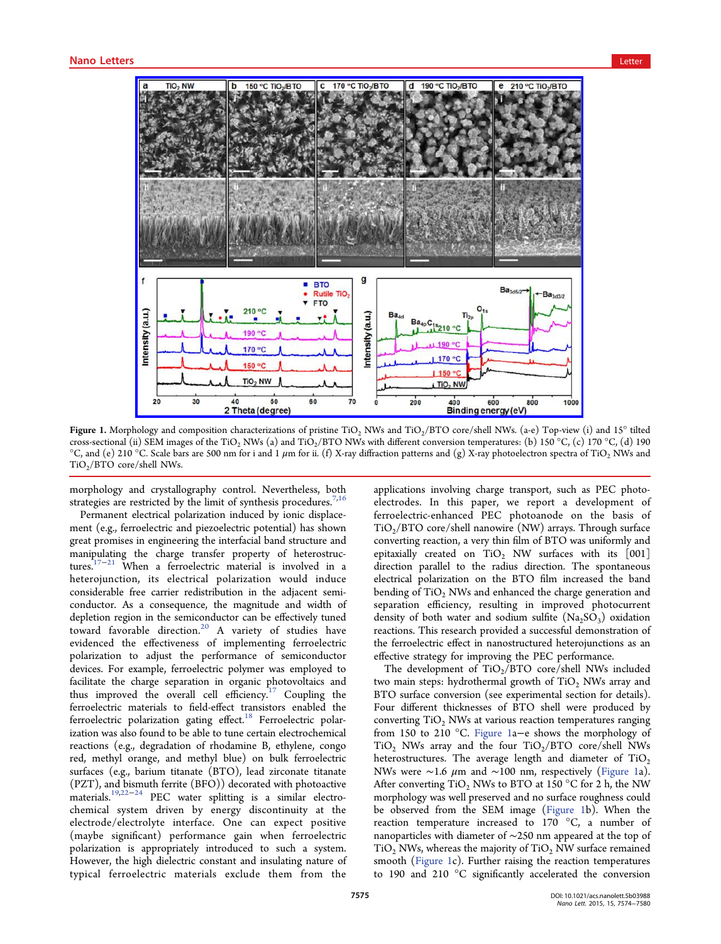<span id="page-1-0"></span>

Figure 1. Morphology and composition characterizations of pristine TiO<sub>2</sub> NWs and TiO<sub>2</sub>/BTO core/shell NWs. (a-e) Top-view (i) and 15° tilted cross-sectional (ii) SEM images of the TiO<sub>2</sub> NWs (a) and TiO<sub>2</sub>/BTO NWs with different conversion temperatures: (b) 150 °C, (c) 170 °C, (d) 190 °C, and (e) 210 °C. Scale bars are 500 nm for i and 1  $\mu$ m for ii. (f) X-ray diffraction patterns and (g) X-ray photoelectron spectra of TiO<sub>2</sub> NWs and  $TiO<sub>2</sub>/BTO$  core/shell NWs.

morphology and crystallography control. Nevertheless, both strategies are restricted by the limit of synthesis procedures.<sup>7,10</sup>

Permanent electrical polarization induced by ionic displacement (e.g., ferroelectric and piezoelectric potential) has sh[own](#page-6-0) great promises in engineering the interfacial band structure and manipulating the charge transfer property of heterostructures. $17-21$  When a ferroelectric material is involved in a heterojunction, its electrical polarization would induce consi[de](#page-6-0)r[ab](#page-6-0)le free carrier redistribution in the adjacent semiconductor. As a consequence, the magnitude and width of depletion region in the semiconductor can be effectively tuned toward favorable direction.<sup>20</sup> A variety of studies have evidenced the effectiveness of implementing ferroelectric polarization to adjust the [pe](#page-6-0)rformance of semiconductor devices. For example, ferroelectric polymer was employed to facilitate the charge separation in organic photovoltaics and thus improved the overall cell efficiency.<sup>17</sup> Coupling the ferroelectric materials to field-effect transistors enabled the f[err](#page-6-0)oelectric polarization gating effect.<sup>18</sup> Ferroelectric polarization was also found to be able to tune certain electrochemical reactions (e.g., degradation of rhodam[ine](#page-6-0) B, ethylene, congo red, methyl orange, and methyl blue) on bulk ferroelectric surfaces (e.g., barium titanate (BTO), lead zirconate titanate (PZT), and bismuth ferrite (BFO)) decorated with photoactive materials.19,22−<sup>24</sup> PEC water splitting is a similar electrochemical system driven by energy discontinuity at the electrod[e/ele](#page-6-0)c[tro](#page-6-0)lyte interface. One can expect positive (maybe significant) performance gain when ferroelectric polarization is appropriately introduced to such a system. However, the high dielectric constant and insulating nature of typical ferroelectric materials exclude them from the

applications involving charge transport, such as PEC photoelectrodes. In this paper, we report a development of ferroelectric-enhanced PEC photoanode on the basis of  $TiO<sub>2</sub>/BTO$  core/shell nanowire (NW) arrays. Through surface converting reaction, a very thin film of BTO was uniformly and epitaxially created on  $TiO<sub>2</sub>$  NW surfaces with its [001] direction parallel to the radius direction. The spontaneous electrical polarization on the BTO film increased the band bending of  $TiO<sub>2</sub>$  NWs and enhanced the charge generation and separation efficiency, resulting in improved photocurrent density of both water and sodium sulfite  $(Na_2SO_3)$  oxidation reactions. This research provided a successful demonstration of the ferroelectric effect in nanostructured heterojunctions as an effective strategy for improving the PEC performance.

The development of  $TiO<sub>2</sub>/BTO$  core/shell NWs included two main steps: hydrothermal growth of  $TiO<sub>2</sub>$  NWs array and BTO surface conversion (see experimental section for details). Four different thicknesses of BTO shell were produced by converting  $TiO<sub>2</sub>$  NWs at various reaction temperatures ranging from 150 to 210 °C. Figure 1a−e shows the morphology of  $TiO<sub>2</sub>$  NWs array and the four  $TiO<sub>2</sub>/BTO$  core/shell NWs heterostructures. The average length and diameter of  $TiO<sub>2</sub>$ NWs were ∼1.6 μm and ∼100 nm, respectively (Figure 1a). After converting  $TiO<sub>2</sub>$  NWs to BTO at 150 °C for 2 h, the NW morphology was well preserved and no surface roughness could be observed from the SEM image (Figure 1b). When the reaction temperature increased to 170 °C, a number of nanoparticles with diameter of ∼250 nm appeared at the top of  $TiO<sub>2</sub> NWs$ , whereas the majority of  $TiO<sub>2</sub> NW$  surface remained smooth (Figure 1c). Further raising the reaction temperatures to 190 and 210 °C significantly accelerated the conversion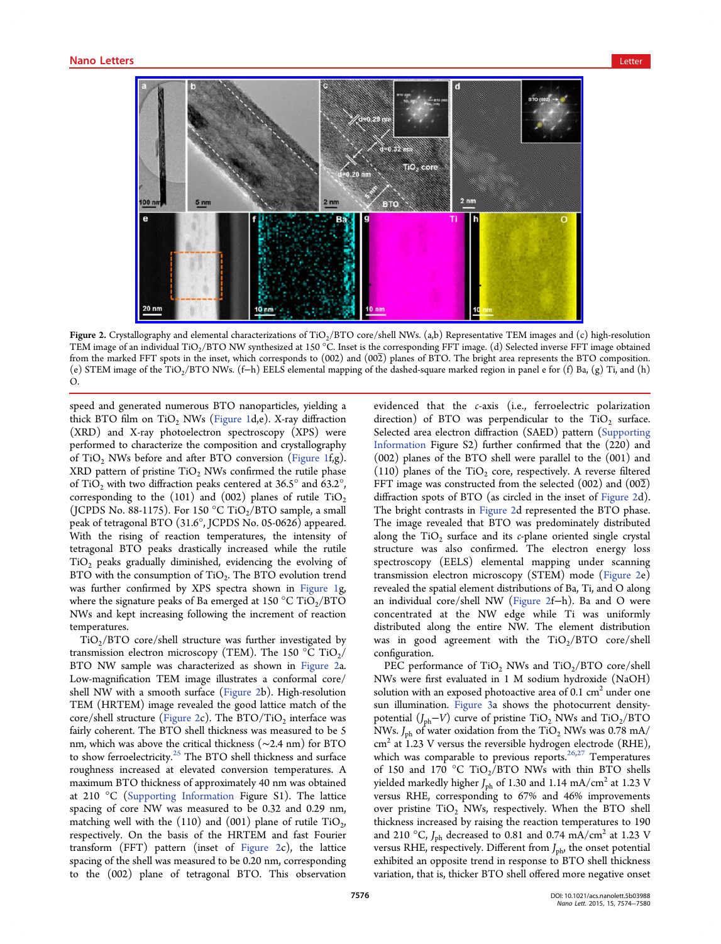

Figure 2. Crystallography and elemental characterizations of TiO<sub>2</sub>/BTO core/shell NWs. (a,b) Representative TEM images and (c) high-resolution TEM image of an individual TiO<sub>2</sub>/BTO NW synthesized at 150 °C. Inset is the corresponding FFT image. (d) Selected inverse FFT image obtained from the marked FFT spots in the inset, which corresponds to (002) and (002) planes of BTO. The bright area represents the BTO composition. (e) STEM image of the TiO<sub>2</sub>/BTO NWs. (f–h) EELS elemental mapping of the dashed-square marked region in panel e for (f) Ba, (g) Ti, and (h) O.

speed and generated numerous BTO nanoparticles, yielding a thick BTO film on  $TiO<sub>2</sub>$  NWs (Figure 1d,e). X-ray diffraction (XRD) and X-ray photoelectron spectroscopy (XPS) were performed to characterize the co[mpositio](#page-1-0)n and crystallography of TiO<sub>2</sub> NWs before and after BTO conversion (Figure 1f,g).  $XRD$  pattern of pristine  $TiO<sub>2</sub>$  NWs confirmed the rutile phase of TiO<sub>2</sub> with two diffraction peaks centered at  $36.5^{\circ}$  and  $63.2^{\circ}$ , corresponding to the (101) and (002) planes of rutile  $TiO<sub>2</sub>$ (JCPDS No. 88-1175). For 150 °C TiO<sub>2</sub>/BTO sample, a small peak of tetragonal BTO (31.6°, JCPDS No. 05-0626) appeared. With the rising of reaction temperatures, the intensity of tetragonal BTO peaks drastically increased while the rutile  $TiO<sub>2</sub>$  peaks gradually diminished, evidencing the evolving of BTO with the consumption of  $TiO<sub>2</sub>$ . The BTO evolution trend was further confirmed by XPS spectra shown in Figure 1g, where the signature peaks of Ba emerged at  $150 \degree C$  TiO<sub>2</sub>/BTO NWs and kept increasing following the increment [of reactio](#page-1-0)n temperatures.

 $TiO<sub>2</sub>/BTO$  core/shell structure was further investigated by transmission electron microscopy (TEM). The 150  $^{\circ}$ C TiO<sub>2</sub>/ BTO NW sample was characterized as shown in Figure 2a. Low-magnification TEM image illustrates a conformal core/ shell NW with a smooth surface (Figure 2b). High-resolution TEM (HRTEM) image revealed the good lattice match of the core/shell structure (Figure 2c). The  $BTO/TiO<sub>2</sub>$  interface was fairly coherent. The BTO shell thickness was measured to be 5 nm, which was above the critical thickness (∼2.4 nm) for BTO to show ferroelectricity.<sup>25</sup> The BTO shell thickness and surface roughness increased at elevated conversion temperatures. A maximum BTO thickne[ss](#page-6-0) of approximately 40 nm was obtained at 210 °C (Supporting Information Figure S1). The lattice spacing of core NW was measured to be 0.32 and 0.29 nm, matching we[ll with the \(110\) and \(0](http://pubs.acs.org/doi/suppl/10.1021/acs.nanolett.5b03988/suppl_file/nl5b03988_si_001.pdf)01) plane of rutile  $TiO<sub>2</sub>$ , respectively. On the basis of the HRTEM and fast Fourier transform (FFT) pattern (inset of Figure 2c), the lattice spacing of the shell was measured to be 0.20 nm, corresponding to the (002) plane of tetragonal BTO. This observation

evidenced that the c-axis (i.e., ferroelectric polarization direction) of BTO was perpendicular to the  $TiO<sub>2</sub>$  surface. Selected area electron diffraction (SAED) pattern (Supporting Information Figure S2) further confirmed that the (220) and (002) planes of the BTO shell were parallel to the [\(001\) and](http://pubs.acs.org/doi/suppl/10.1021/acs.nanolett.5b03988/suppl_file/nl5b03988_si_001.pdf) [\(110\) plane](http://pubs.acs.org/doi/suppl/10.1021/acs.nanolett.5b03988/suppl_file/nl5b03988_si_001.pdf)s of the  $TiO<sub>2</sub>$  core, respectively. A reverse filtered FFT image was constructed from the selected  $(002)$  and  $(00\overline{2})$ diffraction spots of BTO (as circled in the inset of Figure 2d). The bright contrasts in Figure 2d represented the BTO phase. The image revealed that BTO was predominately distributed along the  $TiO<sub>2</sub>$  surface and its c-plane oriented single crystal structure was also confirmed. The electron energy loss spectroscopy (EELS) elemental mapping under scanning transmission electron microscopy (STEM) mode (Figure 2e) revealed the spatial element distributions of Ba, Ti, and O along an individual core/shell NW (Figure 2f−h). Ba and O were concentrated at the NW edge while Ti was uniformly distributed along the entire NW. The element distribution was in good agreement with the  $TiO_2/BTO$  core/shell configuration.

PEC performance of TiO<sub>2</sub> NWs and TiO<sub>2</sub>/BTO core/shell NWs were first evaluated in 1 M sodium hydroxide (NaOH) solution with an exposed photoactive area of  $0.1 \text{ cm}^2$  under one sun illumination. Figure 3a shows the photocurrent densitypotential  $(J_{ph}-V)$  curve of pristine TiO<sub>2</sub> NWs and TiO<sub>2</sub>/BTO NWs.  $J_{\rm ph}$  of water [oxidation](#page-3-0) from the TiO<sub>2</sub> NWs was 0.78 mA/  $\text{cm}^2$  at 1.23 V versus the reversible hydrogen electrode (RHE), which was comparable to previous reports.<sup>26,27</sup> Temperatures of 150 and 170 °C TiO<sub>2</sub>/BTO NWs with thin BTO shells yielded markedly higher  $J_{\rm ph}$  of 1.30 and 1.14 [mA](#page-6-0)/cm<sup>2</sup> at 1.23 V versus RHE, corresponding to 67% and 46% improvements over pristine  $TiO<sub>2</sub>$  NWs, respectively. When the BTO shell thickness increased by raising the reaction temperatures to 190 and 210 °C,  $J_{\rm ph}$  decreased to 0.81 and 0.74 mA/cm<sup>2</sup> at 1.23 V versus RHE, respectively. Different from  $J_{\rm ph}$ , the onset potential exhibited an opposite trend in response to BTO shell thickness variation, that is, thicker BTO shell offered more negative onset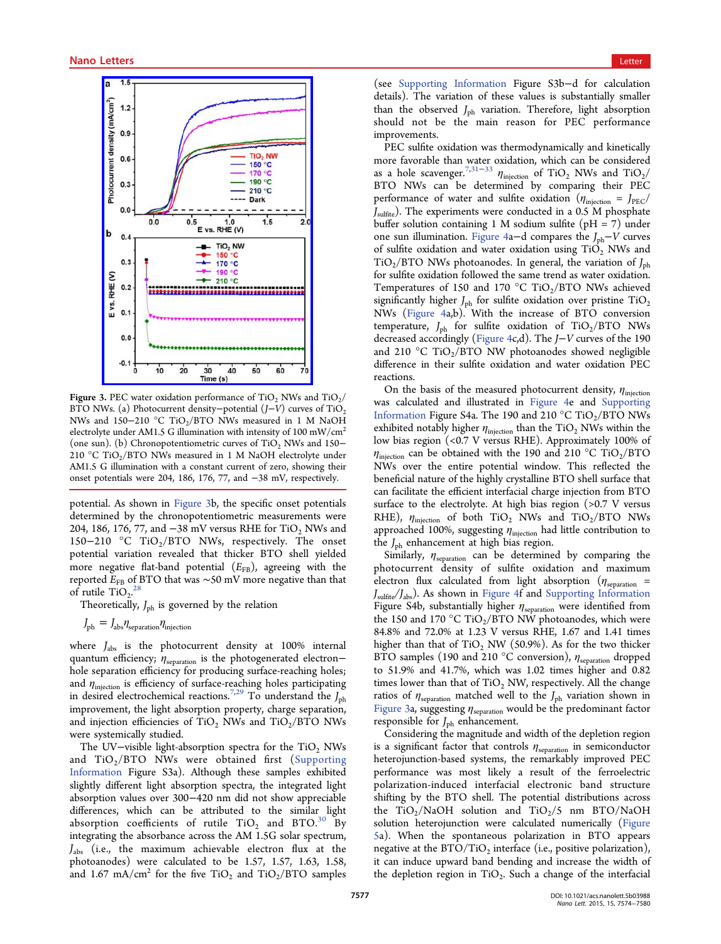<span id="page-3-0"></span>

Figure 3. PEC water oxidation performance of TiO<sub>2</sub> NWs and TiO<sub>2</sub>/ BTO NWs. (a) Photocurrent density–potential  $(J-V)$  curves of TiO<sub>2</sub> NWs and 150−210 °C TiO<sub>2</sub>/BTO NWs measured in 1 M NaOH electrolyte under AM1.5 G illumination with intensity of 100 mW/ $\text{cm}^2$ (one sun). (b) Chronopotentiometric curves of  $TiO<sub>2</sub>$  NWs and 150− 210 °C TiO<sub>2</sub>/BTO NWs measured in 1 M NaOH electrolyte under AM1.5 G illumination with a constant current of zero, showing their onset potentials were 204, 186, 176, 77, and −38 mV, respectively.

potential. As shown in Figure 3b, the specific onset potentials determined by the chronopotentiometric measurements were 204, 186, 176, 77, and  $-38$  mV versus RHE for TiO<sub>2</sub> NWs and 150−210 °C TiO<sub>2</sub>/BTO NWs, respectively. The onset potential variation revealed that thicker BTO shell yielded more negative flat-band potential  $(E_{FB})$ , agreeing with the reported  $E_{\text{FB}}$  of BTO that was ∼50 mV more negative than that<br>of rutilo TiO  $^{28}$ of rutile  $TiO<sub>2</sub>$ .

Theoretically,  $J_{ph}$  is governed by the relation

$$
J_{\rm ph} = J_{\rm abs} \eta_{\rm separation} \eta_{\rm injection}
$$

where  $J_{\text{abs}}$  is the photocurrent density at 100% internal quantum efficiency;  $\eta_{\text{separation}}$  is the photogenerated electron− hole separation efficiency for producing surface-reaching holes; and  $\eta_{\text{injection}}$  is efficiency of surface-reaching holes participating in desired electrochemical reactions.<sup>7,29</sup> To understand the  $J_{\text{ph}}$ improvement, the light absorption property, charge separation, and injection efficiencies of  $TiO<sub>2</sub>$  [NWs](#page-6-0) and  $TiO<sub>2</sub>/BTO$  NWs were systemically studied.

The UV-visible light-absorption spectra for the TiO<sub>2</sub> NWs and  $TiO<sub>2</sub>/BTO NWs$  were obtained first (Supporting Information Figure S3a). Although these samples exhibited slightly different light absorption spectra, the inte[grated light](http://pubs.acs.org/doi/suppl/10.1021/acs.nanolett.5b03988/suppl_file/nl5b03988_si_001.pdf) [absorption v](http://pubs.acs.org/doi/suppl/10.1021/acs.nanolett.5b03988/suppl_file/nl5b03988_si_001.pdf)alues over 300−420 nm did not show appreciable differences, which can be attributed to the similar light absorption coefficients of rutile  $TiO<sub>2</sub>$  and  $BTO.<sup>30</sup>$  By integrating the absorbance across the AM 1.5G solar spectrum,  $J_{\text{abs}}$  (i.e., the maximum achievable electron flux [at](#page-6-0) the photoanodes) were calculated to be 1.57, 1.57, 1.63, 1.58, and 1.67 mA/cm<sup>2</sup> for the five TiO<sub>2</sub> and TiO<sub>2</sub>/BTO samples

(see Supporting Information Figure S3b−d for calculation details). The variation of these values is substantially smaller than the observed  $J_{\rm ph}$  variation. Therefore, light absorption shoul[d](http://pubs.acs.org/doi/suppl/10.1021/acs.nanolett.5b03988/suppl_file/nl5b03988_si_001.pdf) [not](http://pubs.acs.org/doi/suppl/10.1021/acs.nanolett.5b03988/suppl_file/nl5b03988_si_001.pdf) [be](http://pubs.acs.org/doi/suppl/10.1021/acs.nanolett.5b03988/suppl_file/nl5b03988_si_001.pdf) [the](http://pubs.acs.org/doi/suppl/10.1021/acs.nanolett.5b03988/suppl_file/nl5b03988_si_001.pdf) [main](http://pubs.acs.org/doi/suppl/10.1021/acs.nanolett.5b03988/suppl_file/nl5b03988_si_001.pdf) [r](http://pubs.acs.org/doi/suppl/10.1021/acs.nanolett.5b03988/suppl_file/nl5b03988_si_001.pdf)eason for PEC performance improvements.

PEC sulfite oxidation was thermodynamically and kinetically more favorable than water oxidation, which can be considered as a hole scavenger.<sup>7,31–33</sup>  $\eta_{\text{injection}}$  of TiO<sub>2</sub> NWs and TiO<sub>2</sub> BTO NWs can be determined by comparing their PEC performance of wat[er and](#page-6-0) sulfite oxidation ( $\eta_{\text{injection}} = J_{\text{PEC}}/$  $J_{\rm{sulfite}}$ ). The experiments were conducted in a 0.5 M phosphate buffer solution containing 1 M sodium sulfite ( $pH = 7$ ) under one sun illumination. Figure 4a−d compares the  $J_{ph}$ −V curves of sulfite oxidation and water oxidation using  $TiO<sub>2</sub>$  NWs and  $TiO<sub>2</sub>/BTO NWs$  pho[toanodes](#page-4-0). In general, the variation of  $J_{ph}$ for sulfite oxidation followed the same trend as water oxidation. Temperatures of 150 and 170 °C TiO<sub>2</sub>/BTO NWs achieved significantly higher  $J_{ph}$  for sulfite oxidation over pristine  $TiO_2$ NWs (Figure 4a,b). With the increase of BTO conversion temperature,  $J_{\rm ph}$  for sulfite oxidation of TiO<sub>2</sub>/BTO NWs decreas[ed accord](#page-4-0)ingly (Figure 4c,d). The J−V curves of the 190 and 210 °C TiO<sub>2</sub>/BTO NW photoanodes showed negligible difference in their sulfi[te oxida](#page-4-0)tion and water oxidation PEC reactions.

On the basis of the measured photocurrent density,  $\eta_{\text{injection}}$ was calculated and illustrated in Figure 4e and Supporting Information Figure S4a. The 190 and 210  $\rm{^{\circ}C}$  TiO<sub>2</sub>/BTO NWs exhibited notably higher  $\eta_{\text{injection}}$  tha[n the TiO](#page-4-0)<sub>2</sub> NW[s within the](http://pubs.acs.org/doi/suppl/10.1021/acs.nanolett.5b03988/suppl_file/nl5b03988_si_001.pdf) [low bias reg](http://pubs.acs.org/doi/suppl/10.1021/acs.nanolett.5b03988/suppl_file/nl5b03988_si_001.pdf)ion (<0.7 V versus RHE). Approximately 100% of  $\eta_{\text{injection}}$  can be obtained with the 190 and 210 °C TiO<sub>2</sub>/BTO NWs over the entire potential window. This reflected the beneficial nature of the highly crystalline BTO shell surface that can facilitate the efficient interfacial charge injection from BTO surface to the electrolyte. At high bias region (>0.7 V versus RHE),  $\eta_{\text{injection}}$  of both TiO<sub>2</sub> NWs and TiO<sub>2</sub>/BTO NWs approached 100%, suggesting  $\eta_{\text{injection}}$  had little contribution to the  $J_{\rm ph}$  enhancement at high bias region.

Similarly,  $\eta_{\text{separation}}$  can be determined by comparing the photocurrent density of sulfite oxidation and maximum electron flux calculated from light absorption ( $\eta_{\rm separation}$  = Jsulfite/Jabs). As shown in Figure 4f and Supporting Information Figure S4b, substantially higher  $\eta_{\text{separation}}$  were identified from the 150 and 170 °C TiO<sub>2</sub>/BTO NW p[hotoanodes, which were](http://pubs.acs.org/doi/suppl/10.1021/acs.nanolett.5b03988/suppl_file/nl5b03988_si_001.pdf) 84.8% and 72.0% at 1.23 V versus RHE, 1.67 and 1.41 times higher than that of  $TiO<sub>2</sub> NW$  (50.9%). As for the two thicker BTO samples (190 and 210 °C conversion),  $\eta_{\text{separation}}$  dropped to 51.9% and 41.7%, which was 1.02 times higher and 0.82 times lower than that of  $TiO<sub>2</sub>$  NW, respectively. All the change ratios of  $\eta_{\text{separation}}$  matched well to the  $J_{\text{ph}}$  variation shown in Figure 3a, suggesting  $\eta_{\text{separation}}$  would be the predominant factor responsible for  $J_{ph}$  enhancement.

Considering the magnitude and width of the depletion region is a significant factor that controls  $\eta_{\text{separation}}$  in semiconductor heterojunction-based systems, the remarkably improved PEC performance was most likely a result of the ferroelectric polarization-induced interfacial electronic band structure shifting by the BTO shell. The potential distributions across the  $TiO_2/NaOH$  solution and  $TiO_2/5$  nm  $BTO/NaOH$ solution heterojunction were calculated numerically (Figure 5a). When the spontaneous polarization in BTO appears negative at the  $BTO/TiO<sub>2</sub>$  interface (i.e., positive polariz[ation\),](#page-5-0) [it](#page-5-0) can induce upward band bending and increase the width of the depletion region in TiO<sub>2</sub>. Such a change of the interfacial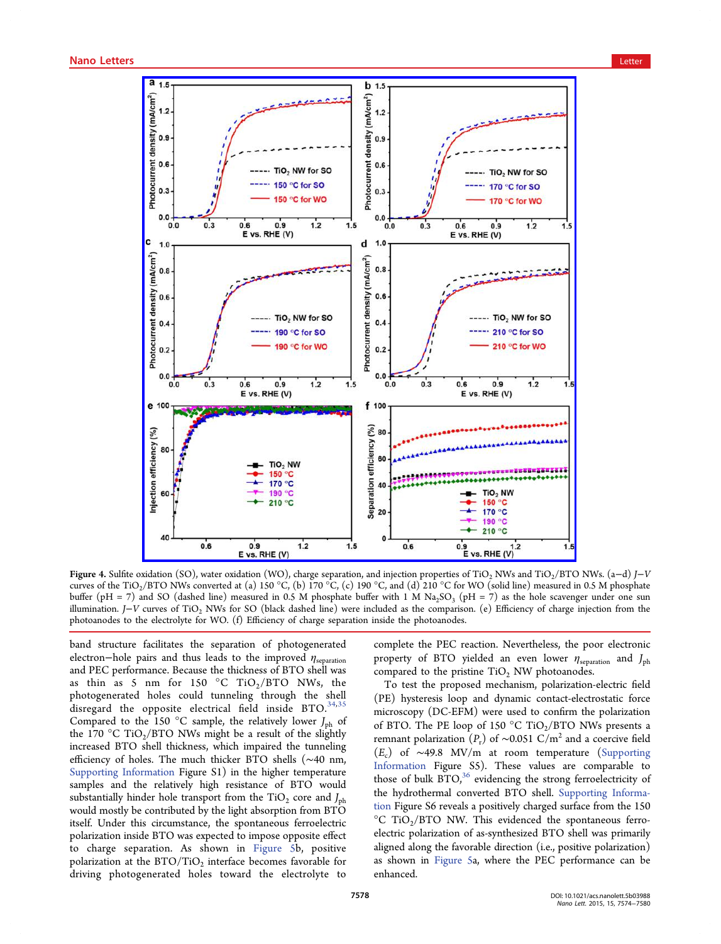<span id="page-4-0"></span>

Figure 4. Sulfite oxidation (SO), water oxidation (WO), charge separation, and injection properties of TiO<sub>2</sub> NWs and TiO<sub>2</sub>/BTO NWs. (a-d) J-V curves of the TiO<sub>2</sub>/BTO NWs converted at (a) 150 °C, (b) 170 °C, (c) 190 °C, and (d) 210 °C for WO (solid line) measured in 0.5 M phosphate buffer (pH = 7) and SO (dashed line) measured in 0.5 M phosphate buffer with 1 M Na<sub>2</sub>SO<sub>3</sub> (pH = 7) as the hole scavenger under one sun illumination. J−V curves of TiO2 NWs for SO (black dashed line) were included as the comparison. (e) Efficiency of charge injection from the photoanodes to the electrolyte for WO. (f) Efficiency of charge separation inside the photoanodes.

band structure facilitates the separation of photogenerated electron–hole pairs and thus leads to the improved  $\eta_{\text{separation}}$ and PEC performance. Because the thickness of BTO shell was as thin as 5 nm for 150  $\degree$ C TiO<sub>2</sub>/BTO NWs, the photogenerated holes could tunneling through the shell disregard the opposite electrical field inside BTO.<sup>34,35</sup> Compared to the 150 °C sample, the relatively lower  $J_{ph}$  of the 170 °C TiO<sub>2</sub>/BTO NWs might be a result of the sli[ghtly](#page-6-0) increased BTO shell thickness, which impaired the tunneling efficiency of holes. The much thicker BTO shells (∼40 nm, Supporting Information Figure S1) in the higher temperature samples and the relatively high resistance of BTO would [substantially hinder hole](http://pubs.acs.org/doi/suppl/10.1021/acs.nanolett.5b03988/suppl_file/nl5b03988_si_001.pdf) transport from the  $TiO<sub>2</sub>$  core and  $J<sub>ph</sub>$ would mostly be contributed by the light absorption from BTO itself. Under this circumstance, the spontaneous ferroelectric polarization inside BTO was expected to impose opposite effect to charge separation. As shown in Figure 5b, positive polarization at the  $BTO/TiO<sub>2</sub>$  interface becomes favorable for driving photogenerated holes toward [the elec](#page-5-0)trolyte to

complete the PEC reaction. Nevertheless, the poor electronic property of BTO yielded an even lower  $\eta_{\text{separation}}$  and  $J_{\text{ph}}$ compared to the pristine  $TiO<sub>2</sub>$  NW photoanodes.

To test the proposed mechanism, polarization-electric field (PE) hysteresis loop and dynamic contact-electrostatic force microscopy (DC-EFM) were used to confirm the polarization of BTO. The PE loop of 150  $^{\circ}$ C TiO<sub>2</sub>/BTO NWs presents a remnant polarization ( $P_r$ ) of ~0.051 C/m<sup>2</sup> and a coercive field  $(E_c)$  of ~49.8 MV/m at room temperature (Supporting Information Figure S5). These values are comparable to those of bulk BTO,<sup>36</sup> evidencing the strong ferroe[lectricity of](http://pubs.acs.org/doi/suppl/10.1021/acs.nanolett.5b03988/suppl_file/nl5b03988_si_001.pdf) [the hydroth](http://pubs.acs.org/doi/suppl/10.1021/acs.nanolett.5b03988/suppl_file/nl5b03988_si_001.pdf)ermal converted BTO shell. Supporting Information Figure S6 revea[ls](#page-6-0) a positively charged surface from the 150  $^{\circ}$ C TiO<sub>2</sub>/BTO NW. This evidenced th[e spontaneous ferro](http://pubs.acs.org/doi/suppl/10.1021/acs.nanolett.5b03988/suppl_file/nl5b03988_si_001.pdf)[elect](http://pubs.acs.org/doi/suppl/10.1021/acs.nanolett.5b03988/suppl_file/nl5b03988_si_001.pdf)ric polarization of as-synthesized BTO shell was primarily aligned along the favorable direction (i.e., positive polarization) as shown in Figure 5a, where the PEC performance can be enhanced.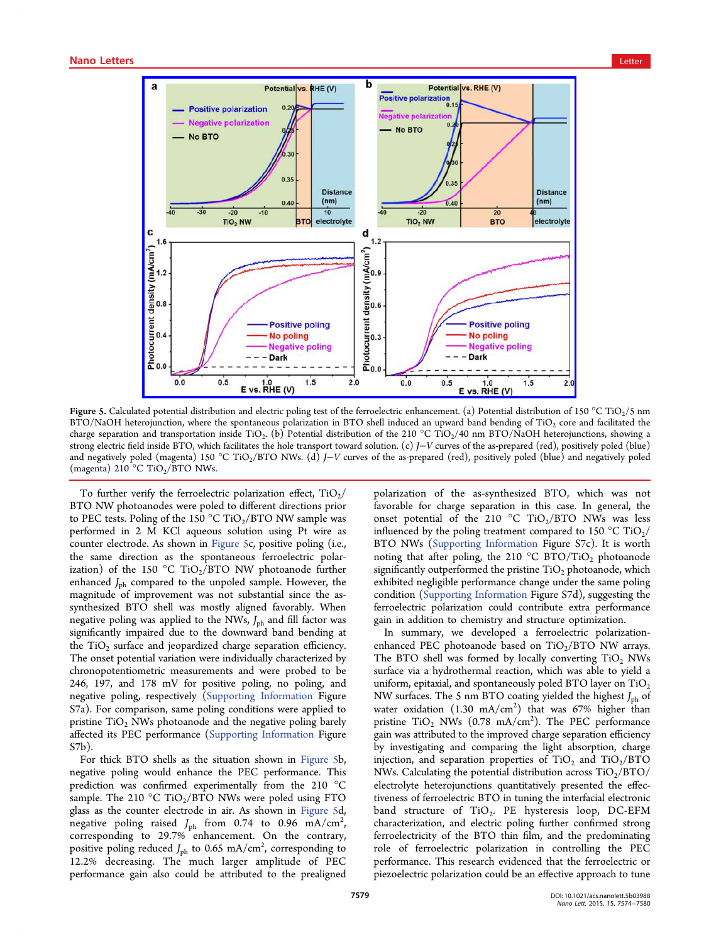<span id="page-5-0"></span>

Figure 5. Calculat[ed potential distribution and electric poling test of the ferroelectric enhancement. \(a\) Potential distribution of](http://pubs.acs.org/action/showImage?doi=10.1021/acs.nanolett.5b03988&iName=master.img-005.jpg&w=371&h=273) 150 °C TiO<sub>2</sub>/5 nm  $BTO/NaOH$  heterojunction, where the spontaneous polarization in BTO shell induced an upward band bending of TiO<sub>2</sub> core and facilitated the charge separation and transportation inside TiO<sub>2</sub>. (b) Potential distribution of the 210 °C TiO<sub>2</sub>/40 nm BTO/NaOH heterojunctions, showing a strong electric field inside BTO, which facilitates the hole transport toward solution. (c) J−V curves of the as-prepared (red), positively poled (blue) and negatively poled (magenta) 150 °C TiO<sub>2</sub>/BTO NWs. (d) J–V curves of the as-prepared (red), positively poled (blue) and negatively poled (magenta) 210 °C TiO<sub>2</sub>/BTO NWs.

To further verify the ferroelectric polarization effect,  $TiO<sub>2</sub>/$ BTO NW photoanodes were poled to different directions prior to PEC tests. Poling of the 150 °C TiO<sub>2</sub>/BTO NW sample was performed in 2 M KCl aqueous solution using Pt wire as counter electrode. As shown in Figure 5c, positive poling (i.e., the same direction as the spontaneous ferroelectric polarization) of the 150 °C TiO<sub>2</sub>/BTO NW photoanode further enhanced  $J_{ph}$  compared to the unpoled sample. However, the magnitude of improvement was not substantial since the assynthesized BTO shell was mostly aligned favorably. When negative poling was applied to the NWs,  $J_{\rm ph}$  and fill factor was significantly impaired due to the downward band bending at the  $TiO<sub>2</sub>$  surface and jeopardized charge separation efficiency. The onset potential variation were individually characterized by chronopotentiometric measurements and were probed to be 246, 197, and 178 mV for positive poling, no poling, and negative poling, respectively (Supporting Information Figure S7a). For comparison, same poling conditions were applied to pristine  $TiO<sub>2</sub>$  NWs photoanod[e and the negative poling](http://pubs.acs.org/doi/suppl/10.1021/acs.nanolett.5b03988/suppl_file/nl5b03988_si_001.pdf) barely affected its PEC performance (Supporting Information Figure S7b).

For thick BTO shells as the [situation shown in](http://pubs.acs.org/doi/suppl/10.1021/acs.nanolett.5b03988/suppl_file/nl5b03988_si_001.pdf) Figure 5b, negative poling would enhance the PEC performance. This prediction was confirmed experimentally from the 210 °C sample. The 210 °C TiO<sub>2</sub>/BTO NWs were poled using FTO glass as the counter electrode in air. As shown in Figure 5d, negative poling raised  $J_{\rm ph}$  from 0.74 to 0.96 mA/cm<sup>2</sup>, , corresponding to 29.7% enhancement. On the contrary, positive poling reduced  $J_{\rm ph}$  to 0.65 mA/cm<sup>2</sup>, corresponding to 12.2% decreasing. The much larger amplitude of PEC performance gain also could be attributed to the prealigned polarization of the as-synthesized BTO, which was not favorable for charge separation in this case. In general, the onset potential of the 210 °C TiO<sub>2</sub>/BTO NWs was less influenced by the poling treatment compared to 150 °C TiO<sub>2</sub>/ BTO NWs (Supporting Information Figure S7c). It is worth noting that after poling, the 210 °C BTO/TiO<sub>2</sub> photoanode significantly [outperformed the pristine](http://pubs.acs.org/doi/suppl/10.1021/acs.nanolett.5b03988/suppl_file/nl5b03988_si_001.pdf)  $TiO<sub>2</sub>$  photoanode, which exhibited negligible performance change under the same poling condition (Supporting Information Figure S7d), suggesting the ferroelectric polarization could contribute extra performance gain in ad[dition to chemistry and s](http://pubs.acs.org/doi/suppl/10.1021/acs.nanolett.5b03988/suppl_file/nl5b03988_si_001.pdf)tructure optimization.

In summary, we developed a ferroelectric polarizationenhanced PEC photoanode based on  $TiO_2/BTO$  NW arrays. The BTO shell was formed by locally converting  $TiO<sub>2</sub>$  NWs surface via a hydrothermal reaction, which was able to yield a uniform, epitaxial, and spontaneously poled BTO layer on  $TiO<sub>2</sub>$ NW surfaces. The 5 nm BTO coating yielded the highest  $J_{ph}$  of water oxidation  $(1.30 \text{ mA/cm}^2)$  that was 67% higher than pristine  $TiO<sub>2</sub>$  NWs (0.78 mA/cm<sup>2</sup>). The PEC performance gain was attributed to the improved charge separation efficiency by investigating and comparing the light absorption, charge injection, and separation properties of  $TiO<sub>2</sub>$  and  $TiO<sub>2</sub>/BTO$ NWs. Calculating the potential distribution across  $TiO<sub>2</sub>/BTO/$ electrolyte heterojunctions quantitatively presented the effectiveness of ferroelectric BTO in tuning the interfacial electronic band structure of  $TiO<sub>2</sub>$ . PE hysteresis loop, DC-EFM characterization, and electric poling further confirmed strong ferroelectricity of the BTO thin film, and the predominating role of ferroelectric polarization in controlling the PEC performance. This research evidenced that the ferroelectric or piezoelectric polarization could be an effective approach to tune